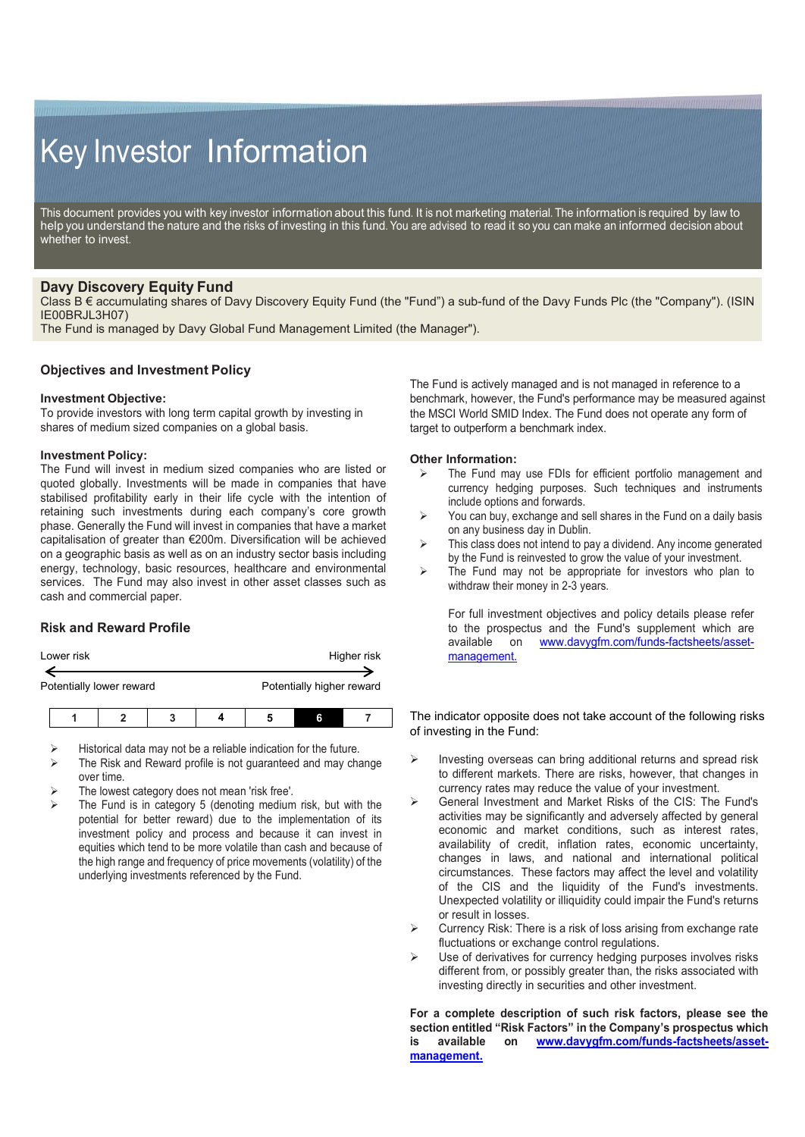# Key Investor Information

This document provides you with key investor information about this fund. It is not marketing material. The information is required by law to help you understand the nature and the risks of investing in this fund. You are advised to read it so you can make an informed decision about whether to invest.

# **Davy Discovery Equity Fund**

Class B € accumulating shares of Davy Discovery Equity Fund (the "Fund") a sub-fund of the Davy Funds Plc (the "Company"). (ISIN IE00BRJL3H07)

The Fund is managed by Davy Global Fund Management Limited (the Manager").

## **Objectives and Investment Policy**

#### **Investment Objective:**

To provide investors with long term capital growth by investing in shares of medium sized companies on a global basis.

#### **Investment Policy:**

The Fund will invest in medium sized companies who are listed or quoted globally. Investments will be made in companies that have stabilised profitability early in their life cycle with the intention of retaining such investments during each company's core growth phase. Generally the Fund will invest in companies that have a market capitalisation of greater than €200m. Diversification will be achieved on a geographic basis as well as on an industry sector basis including energy, technology, basic resources, healthcare and environmental services. The Fund may also invest in other asset classes such as cash and commercial paper.

## **Risk and Reward Profile**

| Lower risk               | Higher risk               |
|--------------------------|---------------------------|
|                          |                           |
| Potentially lower reward | Potentially higher reward |
|                          |                           |

**1 2 3 4 5 6 7**

Historical data may not be a reliable indication for the future.

- The Risk and Reward profile is not guaranteed and may change over time.
- The lowest category does not mean 'risk free'.
- The Fund is in category 5 (denoting medium risk, but with the potential for better reward) due to the implementation of its investment policy and process and because it can invest in equities which tend to be more volatile than cash and because of the high range and frequency of price movements (volatility) of the underlying investments referenced by the Fund.

The Fund is actively managed and is not managed in reference to a benchmark, however, the Fund's performance may be measured against the MSCI World SMID Index. The Fund does not operate any form of target to outperform a benchmark index.

#### **Other Information:**

- The Fund may use FDIs for efficient portfolio management and currency hedging purposes. Such techniques and instruments include options and forwards.
- $\triangleright$  You can buy, exchange and sell shares in the Fund on a daily basis on any business day in Dublin.
- > This class does not intend to pay a dividend. Any income generated by the Fund is reinvested to grow the value of your investment.
- $\triangleright$  The Fund may not be appropriate for investors who plan to withdraw their money in 2-3 years.

For full investment objectives and policy details please refer to the prospectus and the Fund's supplement which are available on [www.davygfm.com/funds-factsheets/asset](http://www.davygfm.com/funds-factsheets/asset-management.)[management.](http://www.davygfm.com/funds-factsheets/asset-management.)

The indicator opposite does not take account of the following risks of investing in the Fund:

- $\triangleright$  Investing overseas can bring additional returns and spread risk to different markets. There are risks, however, that changes in currency rates may reduce the value of your investment.
- General Investment and Market Risks of the CIS: The Fund's activities may be significantly and adversely affected by general economic and market conditions, such as interest rates, availability of credit, inflation rates, economic uncertainty, changes in laws, and national and international political circumstances. These factors may affect the level and volatility of the CIS and the liquidity of the Fund's investments. Unexpected volatility or illiquidity could impair the Fund's returns or result in losses.
- Currency Risk: There is a risk of loss arising from exchange rate fluctuations or exchange control regulations.
- Use of derivatives for currency hedging purposes involves risks different from, or possibly greater than, the risks associated with investing directly in securities and other investment.

**For a complete description of such risk factors, please see the section entitled "Risk Factors" in the Company's prospectus which is available on [www.davygfm.com/funds-factsheets/asset](http://www.davygfm.com/funds-factsheets/asset-management.)[management.](http://www.davygfm.com/funds-factsheets/asset-management.)**